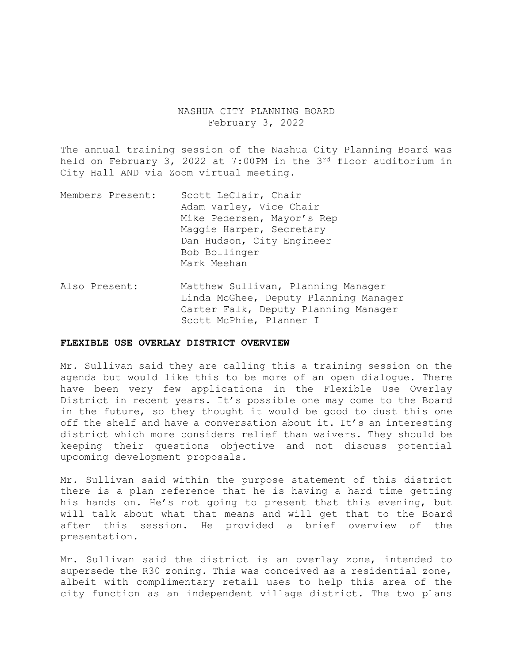## NASHUA CITY PLANNING BOARD February 3, 2022

The annual training session of the Nashua City Planning Board was held on February 3, 2022 at 7:00PM in the 3rd floor auditorium in City Hall AND via Zoom virtual meeting.

- Members Present: Scott LeClair, Chair Adam Varley, Vice Chair Mike Pedersen, Mayor's Rep Maggie Harper, Secretary Dan Hudson, City Engineer Bob Bollinger Mark Meehan
- Also Present: Matthew Sullivan, Planning Manager Linda McGhee, Deputy Planning Manager Carter Falk, Deputy Planning Manager Scott McPhie, Planner I

## **FLEXIBLE USE OVERLAY DISTRICT OVERVIEW**

Mr. Sullivan said they are calling this a training session on the agenda but would like this to be more of an open dialogue. There have been very few applications in the Flexible Use Overlay District in recent years. It's possible one may come to the Board in the future, so they thought it would be good to dust this one off the shelf and have a conversation about it. It's an interesting district which more considers relief than waivers. They should be keeping their questions objective and not discuss potential upcoming development proposals.

Mr. Sullivan said within the purpose statement of this district there is a plan reference that he is having a hard time getting his hands on. He's not going to present that this evening, but will talk about what that means and will get that to the Board after this session. He provided a brief overview of the presentation.

Mr. Sullivan said the district is an overlay zone, intended to supersede the R30 zoning. This was conceived as a residential zone, albeit with complimentary retail uses to help this area of the city function as an independent village district. The two plans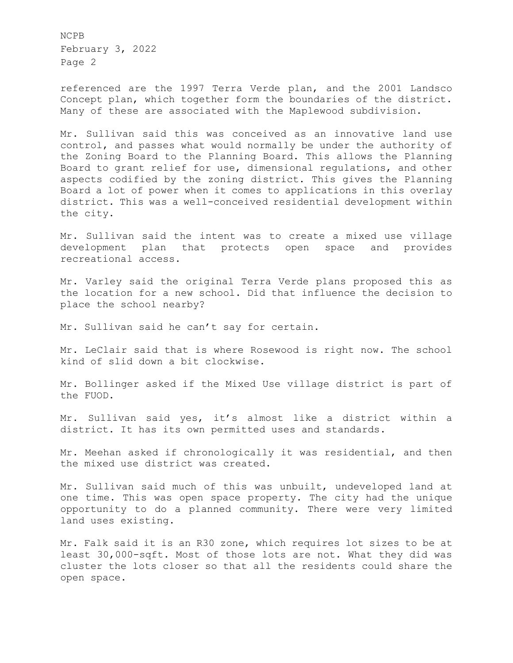referenced are the 1997 Terra Verde plan, and the 2001 Landsco Concept plan, which together form the boundaries of the district. Many of these are associated with the Maplewood subdivision.

Mr. Sullivan said this was conceived as an innovative land use control, and passes what would normally be under the authority of the Zoning Board to the Planning Board. This allows the Planning Board to grant relief for use, dimensional regulations, and other aspects codified by the zoning district. This gives the Planning Board a lot of power when it comes to applications in this overlay district. This was a well-conceived residential development within the city.

Mr. Sullivan said the intent was to create a mixed use village development plan that protects open space and provides recreational access.

Mr. Varley said the original Terra Verde plans proposed this as the location for a new school. Did that influence the decision to place the school nearby?

Mr. Sullivan said he can't say for certain.

Mr. LeClair said that is where Rosewood is right now. The school kind of slid down a bit clockwise.

Mr. Bollinger asked if the Mixed Use village district is part of the FUOD.

Mr. Sullivan said yes, it's almost like a district within a district. It has its own permitted uses and standards.

Mr. Meehan asked if chronologically it was residential, and then the mixed use district was created.

Mr. Sullivan said much of this was unbuilt, undeveloped land at one time. This was open space property. The city had the unique opportunity to do a planned community. There were very limited land uses existing.

Mr. Falk said it is an R30 zone, which requires lot sizes to be at least 30,000-sqft. Most of those lots are not. What they did was cluster the lots closer so that all the residents could share the open space.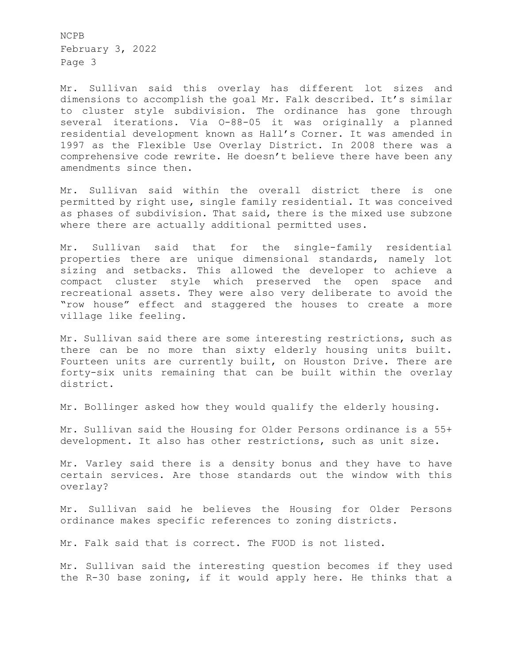Mr. Sullivan said this overlay has different lot sizes and dimensions to accomplish the goal Mr. Falk described. It's similar to cluster style subdivision. The ordinance has gone through several iterations. Via O-88-05 it was originally a planned residential development known as Hall's Corner. It was amended in 1997 as the Flexible Use Overlay District. In 2008 there was a comprehensive code rewrite. He doesn't believe there have been any amendments since then.

Mr. Sullivan said within the overall district there is one permitted by right use, single family residential. It was conceived as phases of subdivision. That said, there is the mixed use subzone where there are actually additional permitted uses.

Mr. Sullivan said that for the single-family residential properties there are unique dimensional standards, namely lot sizing and setbacks. This allowed the developer to achieve a compact cluster style which preserved the open space and recreational assets. They were also very deliberate to avoid the "row house" effect and staggered the houses to create a more village like feeling.

Mr. Sullivan said there are some interesting restrictions, such as there can be no more than sixty elderly housing units built. Fourteen units are currently built, on Houston Drive. There are forty-six units remaining that can be built within the overlay district.

Mr. Bollinger asked how they would qualify the elderly housing.

Mr. Sullivan said the Housing for Older Persons ordinance is a 55+ development. It also has other restrictions, such as unit size.

Mr. Varley said there is a density bonus and they have to have certain services. Are those standards out the window with this overlay?

Mr. Sullivan said he believes the Housing for Older Persons ordinance makes specific references to zoning districts.

Mr. Falk said that is correct. The FUOD is not listed.

Mr. Sullivan said the interesting question becomes if they used the R-30 base zoning, if it would apply here. He thinks that a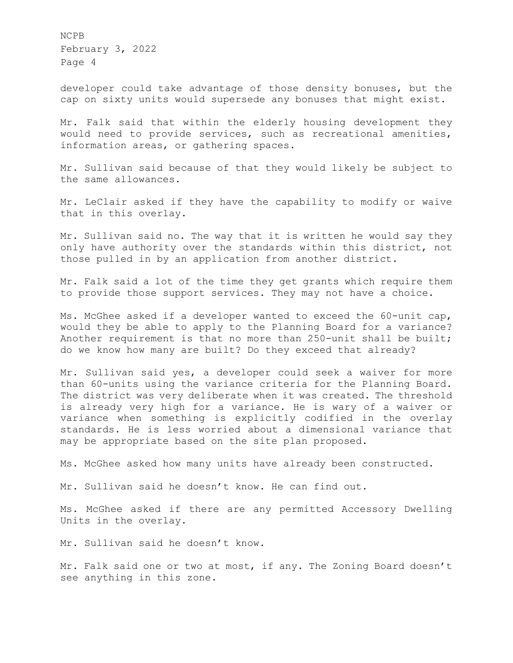developer could take advantage of those density bonuses, but the cap on sixty units would supersede any bonuses that might exist.

Mr. Falk said that within the elderly housing development they would need to provide services, such as recreational amenities, information areas, or gathering spaces.

Mr. Sullivan said because of that they would likely be subject to the same allowances.

Mr. LeClair asked if they have the capability to modify or waive that in this overlay.

Mr. Sullivan said no. The way that it is written he would say they only have authority over the standards within this district, not those pulled in by an application from another district.

Mr. Falk said a lot of the time they get grants which require them to provide those support services. They may not have a choice.

Ms. McGhee asked if a developer wanted to exceed the 60-unit cap, would they be able to apply to the Planning Board for a variance? Another requirement is that no more than 250-unit shall be built; do we know how many are built? Do they exceed that already?

Mr. Sullivan said yes, a developer could seek a waiver for more than 60-units using the variance criteria for the Planning Board. The district was very deliberate when it was created. The threshold is already very high for a variance. He is wary of a waiver or variance when something is explicitly codified in the overlay standards. He is less worried about a dimensional variance that may be appropriate based on the site plan proposed.

Ms. McGhee asked how many units have already been constructed.

Mr. Sullivan said he doesn't know. He can find out.

Ms. McGhee asked if there are any permitted Accessory Dwelling Units in the overlay.

Mr. Sullivan said he doesn't know.

Mr. Falk said one or two at most, if any. The Zoning Board doesn't see anything in this zone.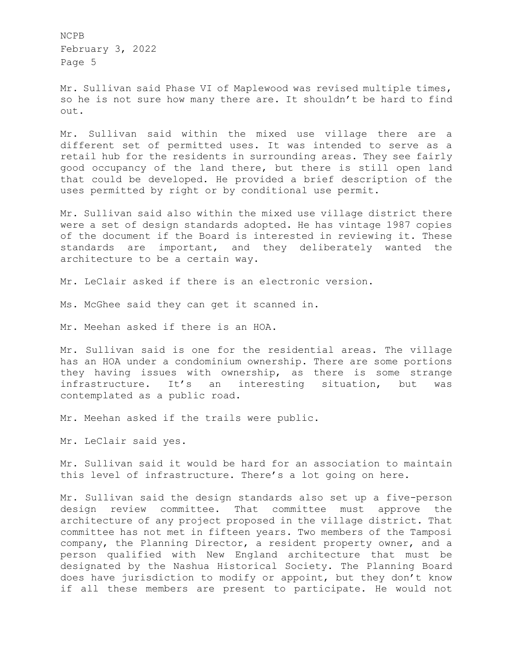Mr. Sullivan said Phase VI of Maplewood was revised multiple times, so he is not sure how many there are. It shouldn't be hard to find out.

Mr. Sullivan said within the mixed use village there are a different set of permitted uses. It was intended to serve as a retail hub for the residents in surrounding areas. They see fairly good occupancy of the land there, but there is still open land that could be developed. He provided a brief description of the uses permitted by right or by conditional use permit.

Mr. Sullivan said also within the mixed use village district there were a set of design standards adopted. He has vintage 1987 copies of the document if the Board is interested in reviewing it. These standards are important, and they deliberately wanted the architecture to be a certain way.

Mr. LeClair asked if there is an electronic version.

Ms. McGhee said they can get it scanned in.

Mr. Meehan asked if there is an HOA.

Mr. Sullivan said is one for the residential areas. The village has an HOA under a condominium ownership. There are some portions they having issues with ownership, as there is some strange infrastructure. It's an interesting situation, but was contemplated as a public road.

Mr. Meehan asked if the trails were public.

Mr. LeClair said yes.

Mr. Sullivan said it would be hard for an association to maintain this level of infrastructure. There's a lot going on here.

Mr. Sullivan said the design standards also set up a five-person design review committee. That committee must approve the architecture of any project proposed in the village district. That committee has not met in fifteen years. Two members of the Tamposi company, the Planning Director, a resident property owner, and a person qualified with New England architecture that must be designated by the Nashua Historical Society. The Planning Board does have jurisdiction to modify or appoint, but they don't know if all these members are present to participate. He would not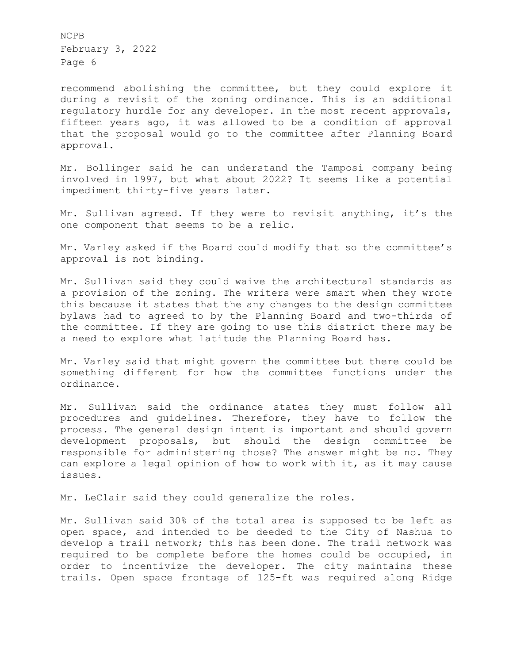recommend abolishing the committee, but they could explore it during a revisit of the zoning ordinance. This is an additional regulatory hurdle for any developer. In the most recent approvals, fifteen years ago, it was allowed to be a condition of approval that the proposal would go to the committee after Planning Board approval.

Mr. Bollinger said he can understand the Tamposi company being involved in 1997, but what about 2022? It seems like a potential impediment thirty-five years later.

Mr. Sullivan agreed. If they were to revisit anything, it's the one component that seems to be a relic.

Mr. Varley asked if the Board could modify that so the committee's approval is not binding.

Mr. Sullivan said they could waive the architectural standards as a provision of the zoning. The writers were smart when they wrote this because it states that the any changes to the design committee bylaws had to agreed to by the Planning Board and two-thirds of the committee. If they are going to use this district there may be a need to explore what latitude the Planning Board has.

Mr. Varley said that might govern the committee but there could be something different for how the committee functions under the ordinance.

Mr. Sullivan said the ordinance states they must follow all procedures and guidelines. Therefore, they have to follow the process. The general design intent is important and should govern development proposals, but should the design committee be responsible for administering those? The answer might be no. They can explore a legal opinion of how to work with it, as it may cause issues.

Mr. LeClair said they could generalize the roles.

Mr. Sullivan said 30% of the total area is supposed to be left as open space, and intended to be deeded to the City of Nashua to develop a trail network; this has been done. The trail network was required to be complete before the homes could be occupied, in order to incentivize the developer. The city maintains these trails. Open space frontage of 125-ft was required along Ridge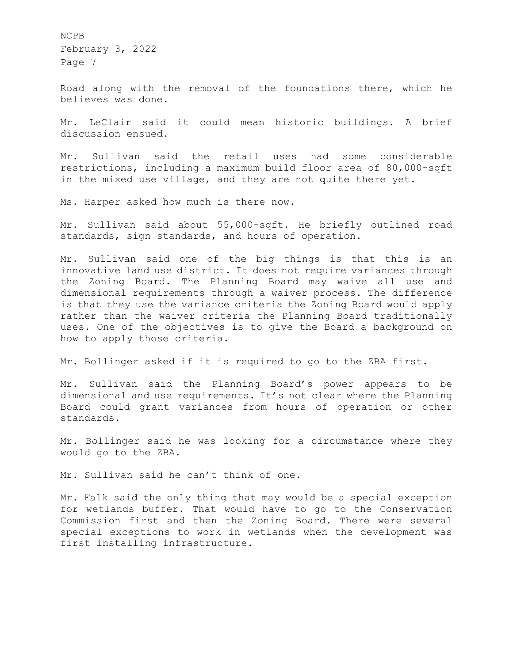Road along with the removal of the foundations there, which he believes was done.

Mr. LeClair said it could mean historic buildings. A brief discussion ensued.

Mr. Sullivan said the retail uses had some considerable restrictions, including a maximum build floor area of 80,000-sqft in the mixed use village, and they are not quite there yet.

Ms. Harper asked how much is there now.

Mr. Sullivan said about 55,000-sqft. He briefly outlined road standards, sign standards, and hours of operation.

Mr. Sullivan said one of the big things is that this is an innovative land use district. It does not require variances through the Zoning Board. The Planning Board may waive all use and dimensional requirements through a waiver process. The difference is that they use the variance criteria the Zoning Board would apply rather than the waiver criteria the Planning Board traditionally uses. One of the objectives is to give the Board a background on how to apply those criteria.

Mr. Bollinger asked if it is required to go to the ZBA first.

Mr. Sullivan said the Planning Board's power appears to be dimensional and use requirements. It's not clear where the Planning Board could grant variances from hours of operation or other standards.

Mr. Bollinger said he was looking for a circumstance where they would go to the ZBA.

Mr. Sullivan said he can't think of one.

Mr. Falk said the only thing that may would be a special exception for wetlands buffer. That would have to go to the Conservation Commission first and then the Zoning Board. There were several special exceptions to work in wetlands when the development was first installing infrastructure.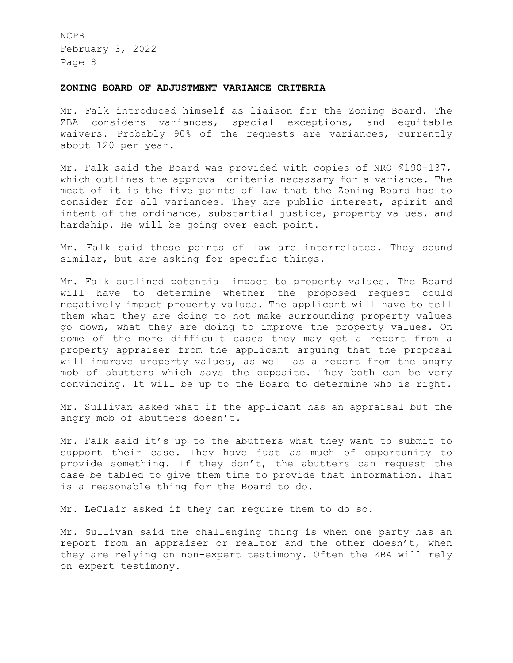## **ZONING BOARD OF ADJUSTMENT VARIANCE CRITERIA**

Mr. Falk introduced himself as liaison for the Zoning Board. The ZBA considers variances, special exceptions, and equitable waivers. Probably 90% of the requests are variances, currently about 120 per year.

Mr. Falk said the Board was provided with copies of NRO §190-137, which outlines the approval criteria necessary for a variance. The meat of it is the five points of law that the Zoning Board has to consider for all variances. They are public interest, spirit and intent of the ordinance, substantial justice, property values, and hardship. He will be going over each point.

Mr. Falk said these points of law are interrelated. They sound similar, but are asking for specific things.

Mr. Falk outlined potential impact to property values. The Board will have to determine whether the proposed request could negatively impact property values. The applicant will have to tell them what they are doing to not make surrounding property values go down, what they are doing to improve the property values. On some of the more difficult cases they may get a report from a property appraiser from the applicant arguing that the proposal will improve property values, as well as a report from the angry mob of abutters which says the opposite. They both can be very convincing. It will be up to the Board to determine who is right.

Mr. Sullivan asked what if the applicant has an appraisal but the angry mob of abutters doesn't.

Mr. Falk said it's up to the abutters what they want to submit to support their case. They have just as much of opportunity to provide something. If they don't, the abutters can request the case be tabled to give them time to provide that information. That is a reasonable thing for the Board to do.

Mr. LeClair asked if they can require them to do so.

Mr. Sullivan said the challenging thing is when one party has an report from an appraiser or realtor and the other doesn't, when they are relying on non-expert testimony. Often the ZBA will rely on expert testimony.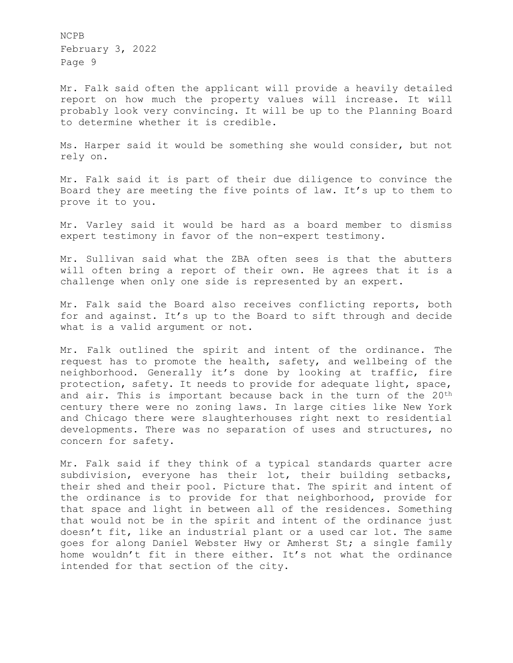Mr. Falk said often the applicant will provide a heavily detailed report on how much the property values will increase. It will probably look very convincing. It will be up to the Planning Board to determine whether it is credible.

Ms. Harper said it would be something she would consider, but not rely on.

Mr. Falk said it is part of their due diligence to convince the Board they are meeting the five points of law. It's up to them to prove it to you.

Mr. Varley said it would be hard as a board member to dismiss expert testimony in favor of the non-expert testimony.

Mr. Sullivan said what the ZBA often sees is that the abutters will often bring a report of their own. He agrees that it is a challenge when only one side is represented by an expert.

Mr. Falk said the Board also receives conflicting reports, both for and against. It's up to the Board to sift through and decide what is a valid argument or not.

Mr. Falk outlined the spirit and intent of the ordinance. The request has to promote the health, safety, and wellbeing of the neighborhood. Generally it's done by looking at traffic, fire protection, safety. It needs to provide for adequate light, space, and air. This is important because back in the turn of the 20th century there were no zoning laws. In large cities like New York and Chicago there were slaughterhouses right next to residential developments. There was no separation of uses and structures, no concern for safety.

Mr. Falk said if they think of a typical standards quarter acre subdivision, everyone has their lot, their building setbacks, their shed and their pool. Picture that. The spirit and intent of the ordinance is to provide for that neighborhood, provide for that space and light in between all of the residences. Something that would not be in the spirit and intent of the ordinance just doesn't fit, like an industrial plant or a used car lot. The same goes for along Daniel Webster Hwy or Amherst St; a single family home wouldn't fit in there either. It's not what the ordinance intended for that section of the city.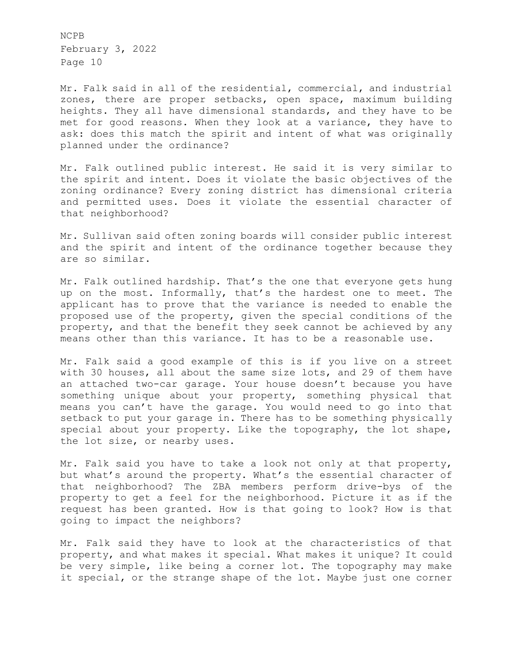Mr. Falk said in all of the residential, commercial, and industrial zones, there are proper setbacks, open space, maximum building heights. They all have dimensional standards, and they have to be met for good reasons. When they look at a variance, they have to ask: does this match the spirit and intent of what was originally planned under the ordinance?

Mr. Falk outlined public interest. He said it is very similar to the spirit and intent. Does it violate the basic objectives of the zoning ordinance? Every zoning district has dimensional criteria and permitted uses. Does it violate the essential character of that neighborhood?

Mr. Sullivan said often zoning boards will consider public interest and the spirit and intent of the ordinance together because they are so similar.

Mr. Falk outlined hardship. That's the one that everyone gets hung up on the most. Informally, that's the hardest one to meet. The applicant has to prove that the variance is needed to enable the proposed use of the property, given the special conditions of the property, and that the benefit they seek cannot be achieved by any means other than this variance. It has to be a reasonable use.

Mr. Falk said a good example of this is if you live on a street with 30 houses, all about the same size lots, and 29 of them have an attached two-car garage. Your house doesn't because you have something unique about your property, something physical that means you can't have the garage. You would need to go into that setback to put your garage in. There has to be something physically special about your property. Like the topography, the lot shape, the lot size, or nearby uses.

Mr. Falk said you have to take a look not only at that property, but what's around the property. What's the essential character of that neighborhood? The ZBA members perform drive-bys of the property to get a feel for the neighborhood. Picture it as if the request has been granted. How is that going to look? How is that going to impact the neighbors?

Mr. Falk said they have to look at the characteristics of that property, and what makes it special. What makes it unique? It could be very simple, like being a corner lot. The topography may make it special, or the strange shape of the lot. Maybe just one corner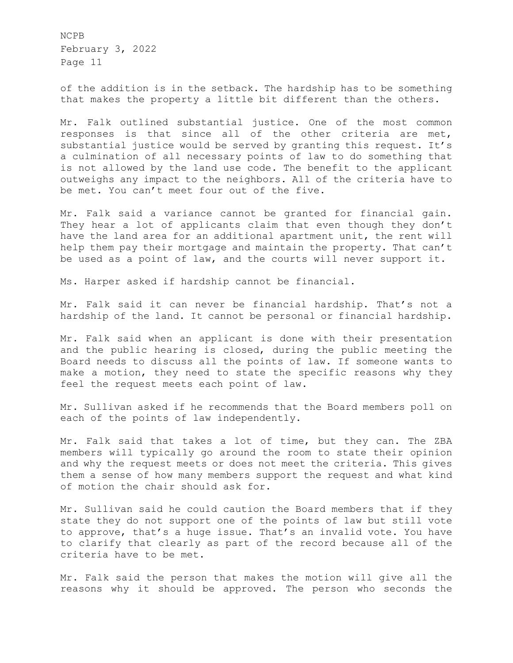of the addition is in the setback. The hardship has to be something that makes the property a little bit different than the others.

Mr. Falk outlined substantial justice. One of the most common responses is that since all of the other criteria are met, substantial justice would be served by granting this request. It's a culmination of all necessary points of law to do something that is not allowed by the land use code. The benefit to the applicant outweighs any impact to the neighbors. All of the criteria have to be met. You can't meet four out of the five.

Mr. Falk said a variance cannot be granted for financial gain. They hear a lot of applicants claim that even though they don't have the land area for an additional apartment unit, the rent will help them pay their mortgage and maintain the property. That can't be used as a point of law, and the courts will never support it.

Ms. Harper asked if hardship cannot be financial.

Mr. Falk said it can never be financial hardship. That's not a hardship of the land. It cannot be personal or financial hardship.

Mr. Falk said when an applicant is done with their presentation and the public hearing is closed, during the public meeting the Board needs to discuss all the points of law. If someone wants to make a motion, they need to state the specific reasons why they feel the request meets each point of law.

Mr. Sullivan asked if he recommends that the Board members poll on each of the points of law independently.

Mr. Falk said that takes a lot of time, but they can. The ZBA members will typically go around the room to state their opinion and why the request meets or does not meet the criteria. This gives them a sense of how many members support the request and what kind of motion the chair should ask for.

Mr. Sullivan said he could caution the Board members that if they state they do not support one of the points of law but still vote to approve, that's a huge issue. That's an invalid vote. You have to clarify that clearly as part of the record because all of the criteria have to be met.

Mr. Falk said the person that makes the motion will give all the reasons why it should be approved. The person who seconds the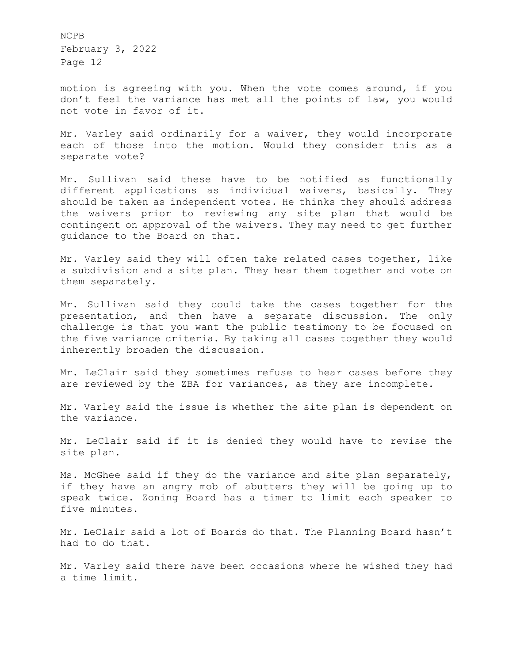motion is agreeing with you. When the vote comes around, if you don't feel the variance has met all the points of law, you would not vote in favor of it.

Mr. Varley said ordinarily for a waiver, they would incorporate each of those into the motion. Would they consider this as a separate vote?

Mr. Sullivan said these have to be notified as functionally different applications as individual waivers, basically. They should be taken as independent votes. He thinks they should address the waivers prior to reviewing any site plan that would be contingent on approval of the waivers. They may need to get further guidance to the Board on that.

Mr. Varley said they will often take related cases together, like a subdivision and a site plan. They hear them together and vote on them separately.

Mr. Sullivan said they could take the cases together for the presentation, and then have a separate discussion. The only challenge is that you want the public testimony to be focused on the five variance criteria. By taking all cases together they would inherently broaden the discussion.

Mr. LeClair said they sometimes refuse to hear cases before they are reviewed by the ZBA for variances, as they are incomplete.

Mr. Varley said the issue is whether the site plan is dependent on the variance.

Mr. LeClair said if it is denied they would have to revise the site plan.

Ms. McGhee said if they do the variance and site plan separately, if they have an angry mob of abutters they will be going up to speak twice. Zoning Board has a timer to limit each speaker to five minutes.

Mr. LeClair said a lot of Boards do that. The Planning Board hasn't had to do that.

Mr. Varley said there have been occasions where he wished they had a time limit.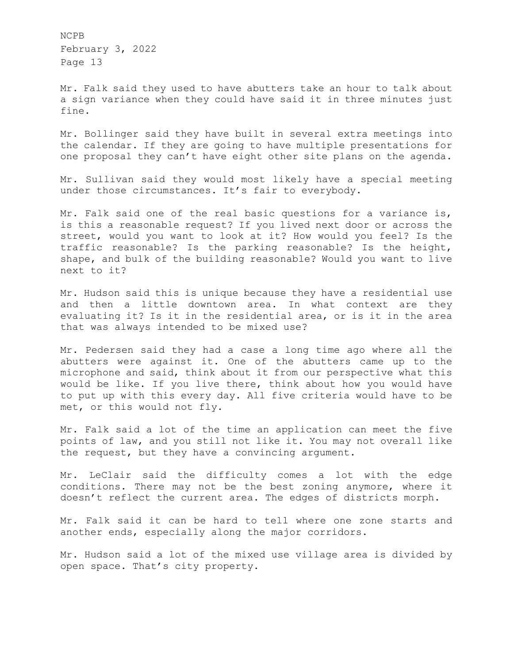Mr. Falk said they used to have abutters take an hour to talk about a sign variance when they could have said it in three minutes just fine.

Mr. Bollinger said they have built in several extra meetings into the calendar. If they are going to have multiple presentations for one proposal they can't have eight other site plans on the agenda.

Mr. Sullivan said they would most likely have a special meeting under those circumstances. It's fair to everybody.

Mr. Falk said one of the real basic questions for a variance is, is this a reasonable request? If you lived next door or across the street, would you want to look at it? How would you feel? Is the traffic reasonable? Is the parking reasonable? Is the height, shape, and bulk of the building reasonable? Would you want to live next to it?

Mr. Hudson said this is unique because they have a residential use and then a little downtown area. In what context are they evaluating it? Is it in the residential area, or is it in the area that was always intended to be mixed use?

Mr. Pedersen said they had a case a long time ago where all the abutters were against it. One of the abutters came up to the microphone and said, think about it from our perspective what this would be like. If you live there, think about how you would have to put up with this every day. All five criteria would have to be met, or this would not fly.

Mr. Falk said a lot of the time an application can meet the five points of law, and you still not like it. You may not overall like the request, but they have a convincing argument.

Mr. LeClair said the difficulty comes a lot with the edge conditions. There may not be the best zoning anymore, where it doesn't reflect the current area. The edges of districts morph.

Mr. Falk said it can be hard to tell where one zone starts and another ends, especially along the major corridors.

Mr. Hudson said a lot of the mixed use village area is divided by open space. That's city property.